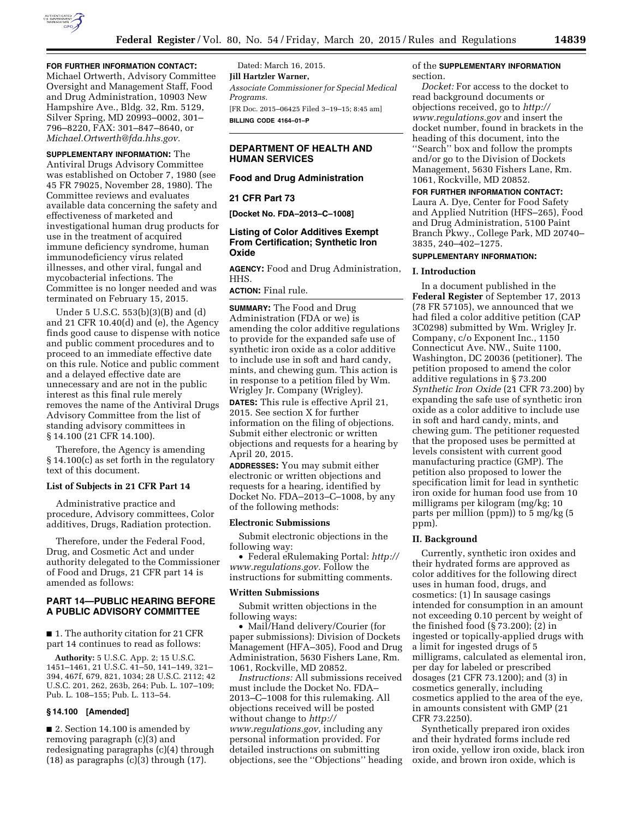

Michael Ortwerth, Advisory Committee Oversight and Management Staff, Food and Drug Administration, 10903 New Hampshire Ave., Bldg. 32, Rm. 5129, Silver Spring, MD 20993–0002, 301– 796–8220, FAX: 301–847–8640, or *[Michael.Ortwerth@fda.hhs.gov.](mailto:Michael.Ortwerth@fda.hhs.gov)* 

**SUPPLEMENTARY INFORMATION:** The Antiviral Drugs Advisory Committee was established on October 7, 1980 (see 45 FR 79025, November 28, 1980). The Committee reviews and evaluates available data concerning the safety and effectiveness of marketed and investigational human drug products for use in the treatment of acquired immune deficiency syndrome, human immunodeficiency virus related illnesses, and other viral, fungal and mycobacterial infections. The Committee is no longer needed and was terminated on February 15, 2015.

Under 5 U.S.C. 553(b)(3)(B) and (d) and 21 CFR 10.40(d) and (e), the Agency finds good cause to dispense with notice and public comment procedures and to proceed to an immediate effective date on this rule. Notice and public comment and a delayed effective date are unnecessary and are not in the public interest as this final rule merely removes the name of the Antiviral Drugs Advisory Committee from the list of standing advisory committees in § 14.100 (21 CFR 14.100).

Therefore, the Agency is amending § 14.100(c) as set forth in the regulatory text of this document.

## **List of Subjects in 21 CFR Part 14**

Administrative practice and procedure, Advisory committees, Color additives, Drugs, Radiation protection.

Therefore, under the Federal Food, Drug, and Cosmetic Act and under authority delegated to the Commissioner of Food and Drugs, 21 CFR part 14 is amended as follows:

## **PART 14—PUBLIC HEARING BEFORE A PUBLIC ADVISORY COMMITTEE**

■ 1. The authority citation for 21 CFR part 14 continues to read as follows:

**Authority:** 5 U.S.C. App. 2; 15 U.S.C. 1451–1461, 21 U.S.C. 41–50, 141–149, 321– 394, 467f, 679, 821, 1034; 28 U.S.C. 2112; 42 U.S.C. 201, 262, 263b, 264; Pub. L. 107–109; Pub. L. 108–155; Pub. L. 113–54.

#### **§ 14.100 [Amended]**

■ 2. Section 14.100 is amended by removing paragraph (c)(3) and redesignating paragraphs (c)(4) through  $(18)$  as paragraphs  $(c)(3)$  through  $(17)$ .

Dated: March 16, 2015. **Jill Hartzler Warner,**  *Associate Commissioner for Special Medical Programs.*  [FR Doc. 2015–06425 Filed 3–19–15; 8:45 am] **BILLING CODE 4164–01–P** 

## **DEPARTMENT OF HEALTH AND HUMAN SERVICES**

#### **Food and Drug Administration**

#### **21 CFR Part 73**

**[Docket No. FDA–2013–C–1008]** 

## **Listing of Color Additives Exempt From Certification; Synthetic Iron Oxide**

**AGENCY:** Food and Drug Administration, HHS.

### **ACTION:** Final rule.

**SUMMARY:** The Food and Drug Administration (FDA or we) is amending the color additive regulations to provide for the expanded safe use of synthetic iron oxide as a color additive to include use in soft and hard candy, mints, and chewing gum. This action is in response to a petition filed by Wm. Wrigley Jr. Company (Wrigley).

**DATES:** This rule is effective April 21, 2015. See section X for further information on the filing of objections. Submit either electronic or written objections and requests for a hearing by April 20, 2015.

**ADDRESSES:** You may submit either electronic or written objections and requests for a hearing, identified by Docket No. FDA–2013–C–1008, by any of the following methods:

#### **Electronic Submissions**

Submit electronic objections in the following way:

• Federal eRulemaking Portal: *[http://](http://www.regulations.gov) [www.regulations.gov.](http://www.regulations.gov)* Follow the instructions for submitting comments.

#### **Written Submissions**

Submit written objections in the following ways:

• Mail/Hand delivery/Courier (for paper submissions): Division of Dockets Management (HFA–305), Food and Drug Administration, 5630 Fishers Lane, Rm. 1061, Rockville, MD 20852.

*Instructions:* All submissions received must include the Docket No. FDA– 2013–C–1008 for this rulemaking. All objections received will be posted without change to *[http://](http://www.regulations.gov) [www.regulations.gov,](http://www.regulations.gov)* including any personal information provided. For detailed instructions on submitting objections, see the ''Objections'' heading of the **SUPPLEMENTARY INFORMATION** section.

*Docket:* For access to the docket to read background documents or objections received, go to *[http://](http://www.regulations.gov) [www.regulations.gov](http://www.regulations.gov)* and insert the docket number, found in brackets in the heading of this document, into the ''Search'' box and follow the prompts and/or go to the Division of Dockets Management, 5630 Fishers Lane, Rm. 1061, Rockville, MD 20852.

## **FOR FURTHER INFORMATION CONTACT:**

Laura A. Dye, Center for Food Safety and Applied Nutrition (HFS–265), Food and Drug Administration, 5100 Paint Branch Pkwy., College Park, MD 20740– 3835, 240–402–1275.

### **SUPPLEMENTARY INFORMATION:**

#### **I. Introduction**

In a document published in the **Federal Register** of September 17, 2013 (78 FR 57105), we announced that we had filed a color additive petition (CAP 3C0298) submitted by Wm. Wrigley Jr. Company, c/o Exponent Inc., 1150 Connecticut Ave. NW., Suite 1100, Washington, DC 20036 (petitioner). The petition proposed to amend the color additive regulations in § 73.200 *Synthetic Iron Oxide* (21 CFR 73.200) by expanding the safe use of synthetic iron oxide as a color additive to include use in soft and hard candy, mints, and chewing gum. The petitioner requested that the proposed uses be permitted at levels consistent with current good manufacturing practice (GMP). The petition also proposed to lower the specification limit for lead in synthetic iron oxide for human food use from 10 milligrams per kilogram (mg/kg; 10 parts per million (ppm)) to 5 mg/kg (5 ppm).

## **II. Background**

Currently, synthetic iron oxides and their hydrated forms are approved as color additives for the following direct uses in human food, drugs, and cosmetics: (1) In sausage casings intended for consumption in an amount not exceeding 0.10 percent by weight of the finished food (§ 73.200); (2) in ingested or topically-applied drugs with a limit for ingested drugs of 5 milligrams, calculated as elemental iron, per day for labeled or prescribed dosages (21 CFR 73.1200); and (3) in cosmetics generally, including cosmetics applied to the area of the eye, in amounts consistent with GMP (21 CFR 73.2250).

Synthetically prepared iron oxides and their hydrated forms include red iron oxide, yellow iron oxide, black iron oxide, and brown iron oxide, which is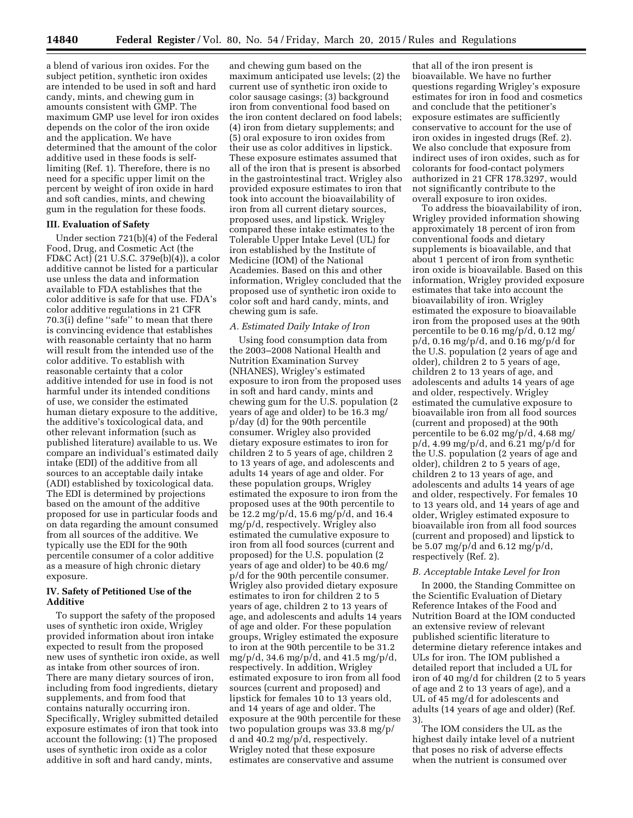a blend of various iron oxides. For the subject petition, synthetic iron oxides are intended to be used in soft and hard candy, mints, and chewing gum in amounts consistent with GMP. The maximum GMP use level for iron oxides depends on the color of the iron oxide and the application. We have determined that the amount of the color additive used in these foods is selflimiting (Ref. 1). Therefore, there is no need for a specific upper limit on the percent by weight of iron oxide in hard and soft candies, mints, and chewing gum in the regulation for these foods.

#### **III. Evaluation of Safety**

Under section 721(b)(4) of the Federal Food, Drug, and Cosmetic Act (the FD&C Act) (21 U.S.C. 379e(b)(4)), a color additive cannot be listed for a particular use unless the data and information available to FDA establishes that the color additive is safe for that use. FDA's color additive regulations in 21 CFR 70.3(i) define ''safe'' to mean that there is convincing evidence that establishes with reasonable certainty that no harm will result from the intended use of the color additive. To establish with reasonable certainty that a color additive intended for use in food is not harmful under its intended conditions of use, we consider the estimated human dietary exposure to the additive, the additive's toxicological data, and other relevant information (such as published literature) available to us. We compare an individual's estimated daily intake (EDI) of the additive from all sources to an acceptable daily intake (ADI) established by toxicological data. The EDI is determined by projections based on the amount of the additive proposed for use in particular foods and on data regarding the amount consumed from all sources of the additive. We typically use the EDI for the 90th percentile consumer of a color additive as a measure of high chronic dietary exposure.

## **IV. Safety of Petitioned Use of the Additive**

To support the safety of the proposed uses of synthetic iron oxide, Wrigley provided information about iron intake expected to result from the proposed new uses of synthetic iron oxide, as well as intake from other sources of iron. There are many dietary sources of iron, including from food ingredients, dietary supplements, and from food that contains naturally occurring iron. Specifically, Wrigley submitted detailed exposure estimates of iron that took into account the following: (1) The proposed uses of synthetic iron oxide as a color additive in soft and hard candy, mints,

and chewing gum based on the maximum anticipated use levels; (2) the current use of synthetic iron oxide to color sausage casings; (3) background iron from conventional food based on the iron content declared on food labels; (4) iron from dietary supplements; and (5) oral exposure to iron oxides from their use as color additives in lipstick. These exposure estimates assumed that all of the iron that is present is absorbed in the gastrointestinal tract. Wrigley also provided exposure estimates to iron that took into account the bioavailability of iron from all current dietary sources, proposed uses, and lipstick. Wrigley compared these intake estimates to the Tolerable Upper Intake Level (UL) for iron established by the Institute of Medicine (IOM) of the National Academies. Based on this and other information, Wrigley concluded that the proposed use of synthetic iron oxide to color soft and hard candy, mints, and chewing gum is safe.

### *A. Estimated Daily Intake of Iron*

Using food consumption data from the 2003–2008 National Health and Nutrition Examination Survey (NHANES), Wrigley's estimated exposure to iron from the proposed uses in soft and hard candy, mints and chewing gum for the U.S. population (2 years of age and older) to be 16.3 mg/ p/day (d) for the 90th percentile consumer. Wrigley also provided dietary exposure estimates to iron for children 2 to 5 years of age, children 2 to 13 years of age, and adolescents and adults 14 years of age and older. For these population groups, Wrigley estimated the exposure to iron from the proposed uses at the 90th percentile to be 12.2 mg/p/d, 15.6 mg/p/d, and 16.4 mg/p/d, respectively. Wrigley also estimated the cumulative exposure to iron from all food sources (current and proposed) for the U.S. population (2 years of age and older) to be 40.6 mg/ p/d for the 90th percentile consumer. Wrigley also provided dietary exposure estimates to iron for children 2 to 5 years of age, children 2 to 13 years of age, and adolescents and adults 14 years of age and older. For these population groups, Wrigley estimated the exposure to iron at the 90th percentile to be 31.2 mg/p/d, 34.6 mg/p/d, and 41.5 mg/p/d, respectively. In addition, Wrigley estimated exposure to iron from all food sources (current and proposed) and lipstick for females 10 to 13 years old, and 14 years of age and older. The exposure at the 90th percentile for these two population groups was 33.8 mg/p/ d and 40.2 mg/p/d, respectively. Wrigley noted that these exposure estimates are conservative and assume

that all of the iron present is bioavailable. We have no further questions regarding Wrigley's exposure estimates for iron in food and cosmetics and conclude that the petitioner's exposure estimates are sufficiently conservative to account for the use of iron oxides in ingested drugs (Ref. 2). We also conclude that exposure from indirect uses of iron oxides, such as for colorants for food-contact polymers authorized in 21 CFR 178.3297, would not significantly contribute to the overall exposure to iron oxides.

To address the bioavailability of iron, Wrigley provided information showing approximately 18 percent of iron from conventional foods and dietary supplements is bioavailable, and that about 1 percent of iron from synthetic iron oxide is bioavailable. Based on this information, Wrigley provided exposure estimates that take into account the bioavailability of iron. Wrigley estimated the exposure to bioavailable iron from the proposed uses at the 90th percentile to be 0.16 mg/p/d, 0.12 mg/  $p/d$ , 0.16 mg/ $p/d$ , and 0.16 mg/ $p/d$  for the U.S. population (2 years of age and older), children 2 to 5 years of age, children 2 to 13 years of age, and adolescents and adults 14 years of age and older, respectively. Wrigley estimated the cumulative exposure to bioavailable iron from all food sources (current and proposed) at the 90th percentile to be 6.02 mg/p/d, 4.68 mg/  $p/d$ , 4.99 mg/p/d, and 6.21 mg/p/d for the U.S. population (2 years of age and older), children 2 to 5 years of age, children 2 to 13 years of age, and adolescents and adults 14 years of age and older, respectively. For females 10 to 13 years old, and 14 years of age and older, Wrigley estimated exposure to bioavailable iron from all food sources (current and proposed) and lipstick to be 5.07 mg/p/d and 6.12 mg/p/d, respectively (Ref. 2).

### *B. Acceptable Intake Level for Iron*

In 2000, the Standing Committee on the Scientific Evaluation of Dietary Reference Intakes of the Food and Nutrition Board at the IOM conducted an extensive review of relevant published scientific literature to determine dietary reference intakes and ULs for iron. The IOM published a detailed report that included a UL for iron of 40 mg/d for children (2 to 5 years of age and 2 to 13 years of age), and a UL of 45 mg/d for adolescents and adults (14 years of age and older) (Ref. 3).

The IOM considers the UL as the highest daily intake level of a nutrient that poses no risk of adverse effects when the nutrient is consumed over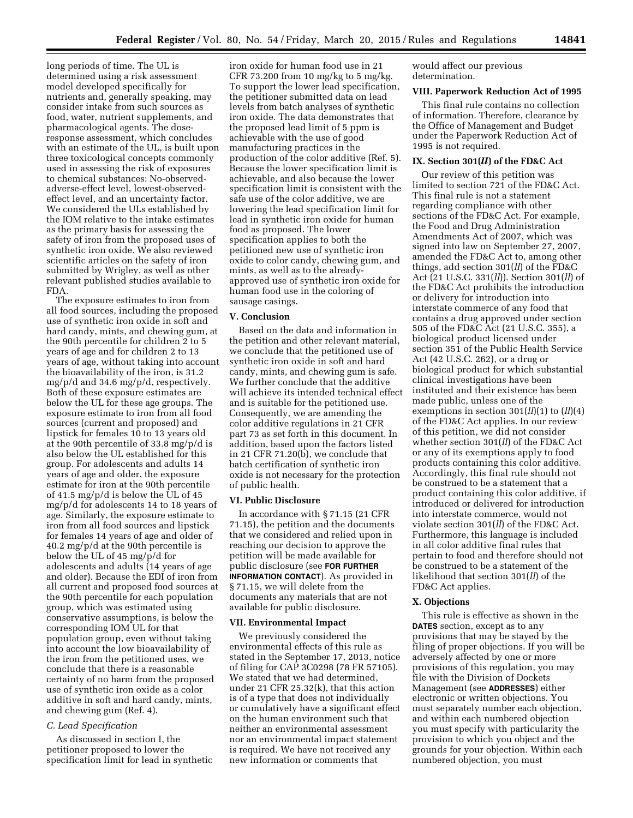long periods of time. The UL is determined using a risk assessment model developed specifically for nutrients and, generally speaking, may consider intake from such sources as food, water, nutrient supplements, and pharmacological agents. The doseresponse assessment, which concludes with an estimate of the UL, is built upon three toxicological concepts commonly used in assessing the risk of exposures to chemical substances: No-observedadverse-effect level, lowest-observedeffect level, and an uncertainty factor. We considered the ULs established by the IOM relative to the intake estimates as the primary basis for assessing the safety of iron from the proposed uses of synthetic iron oxide. We also reviewed scientific articles on the safety of iron submitted by Wrigley, as well as other relevant published studies available to FDA.

The exposure estimates to iron from all food sources, including the proposed use of synthetic iron oxide in soft and hard candy, mints, and chewing gum, at the 90th percentile for children 2 to 5 years of age and for children 2 to 13 years of age, without taking into account the bioavailability of the iron, is 31.2 mg/p/d and 34.6 mg/p/d, respectively. Both of these exposure estimates are below the UL for these age groups. The exposure estimate to iron from all food sources (current and proposed) and lipstick for females 10 to 13 years old at the 90th percentile of 33.8 mg/p/d is also below the UL established for this group. For adolescents and adults 14 years of age and older, the exposure estimate for iron at the 90th percentile of 41.5 mg/p/d is below the UL of 45 mg/p/d for adolescents 14 to 18 years of age. Similarly, the exposure estimate to iron from all food sources and lipstick for females 14 years of age and older of 40.2 mg/p/d at the 90th percentile is below the UL of 45 mg/p/d for adolescents and adults (14 years of age and older). Because the EDI of iron from all current and proposed food sources at the 90th percentile for each population group, which was estimated using conservative assumptions, is below the corresponding IOM UL for that population group, even without taking into account the low bioavailability of the iron from the petitioned uses, we conclude that there is a reasonable certainty of no harm from the proposed use of synthetic iron oxide as a color additive in soft and hard candy, mints, and chewing gum (Ref. 4).

### *C. Lead Specification*

As discussed in section I, the petitioner proposed to lower the specification limit for lead in synthetic

iron oxide for human food use in 21 CFR 73.200 from 10 mg/kg to 5 mg/kg. To support the lower lead specification, the petitioner submitted data on lead levels from batch analyses of synthetic iron oxide. The data demonstrates that the proposed lead limit of 5 ppm is achievable with the use of good manufacturing practices in the production of the color additive (Ref. 5). Because the lower specification limit is achievable, and also because the lower specification limit is consistent with the safe use of the color additive, we are lowering the lead specification limit for lead in synthetic iron oxide for human food as proposed. The lower specification applies to both the petitioned new use of synthetic iron oxide to color candy, chewing gum, and mints, as well as to the alreadyapproved use of synthetic iron oxide for human food use in the coloring of sausage casings.

## **V. Conclusion**

Based on the data and information in the petition and other relevant material, we conclude that the petitioned use of synthetic iron oxide in soft and hard candy, mints, and chewing gum is safe. We further conclude that the additive will achieve its intended technical effect and is suitable for the petitioned use. Consequently, we are amending the color additive regulations in 21 CFR part 73 as set forth in this document. In addition, based upon the factors listed in 21 CFR 71.20(b), we conclude that batch certification of synthetic iron oxide is not necessary for the protection of public health.

#### **VI. Public Disclosure**

In accordance with § 71.15 (21 CFR 71.15), the petition and the documents that we considered and relied upon in reaching our decision to approve the petition will be made available for public disclosure (see **FOR FURTHER INFORMATION CONTACT**). As provided in § 71.15, we will delete from the documents any materials that are not available for public disclosure.

#### **VII. Environmental Impact**

We previously considered the environmental effects of this rule as stated in the September 17, 2013, notice of filing for CAP 3C0298 (78 FR 57105). We stated that we had determined, under 21 CFR 25.32(k), that this action is of a type that does not individually or cumulatively have a significant effect on the human environment such that neither an environmental assessment nor an environmental impact statement is required. We have not received any new information or comments that

would affect our previous determination.

#### **VIII. Paperwork Reduction Act of 1995**

This final rule contains no collection of information. Therefore, clearance by the Office of Management and Budget under the Paperwork Reduction Act of 1995 is not required.

### **IX. Section 301(***ll***) of the FD&C Act**

Our review of this petition was limited to section 721 of the FD&C Act. This final rule is not a statement regarding compliance with other sections of the FD&C Act. For example, the Food and Drug Administration Amendments Act of 2007, which was signed into law on September 27, 2007, amended the FD&C Act to, among other things, add section 301(*ll*) of the FD&C Act (21 U.S.C. 331(*ll*)). Section 301(*ll*) of the FD&C Act prohibits the introduction or delivery for introduction into interstate commerce of any food that contains a drug approved under section 505 of the FD&C Act (21 U.S.C. 355), a biological product licensed under section 351 of the Public Health Service Act (42 U.S.C. 262), or a drug or biological product for which substantial clinical investigations have been instituted and their existence has been made public, unless one of the exemptions in section 301(*ll*)(1) to (*ll*)(4) of the FD&C Act applies. In our review of this petition, we did not consider whether section 301(*ll*) of the FD&C Act or any of its exemptions apply to food products containing this color additive. Accordingly, this final rule should not be construed to be a statement that a product containing this color additive, if introduced or delivered for introduction into interstate commerce, would not violate section 301(*ll*) of the FD&C Act. Furthermore, this language is included in all color additive final rules that pertain to food and therefore should not be construed to be a statement of the likelihood that section 301(*ll*) of the FD&C Act applies.

#### **X. Objections**

This rule is effective as shown in the **DATES** section, except as to any provisions that may be stayed by the filing of proper objections. If you will be adversely affected by one or more provisions of this regulation, you may file with the Division of Dockets Management (see **ADDRESSES**) either electronic or written objections. You must separately number each objection, and within each numbered objection you must specify with particularity the provision to which you object and the grounds for your objection. Within each numbered objection, you must